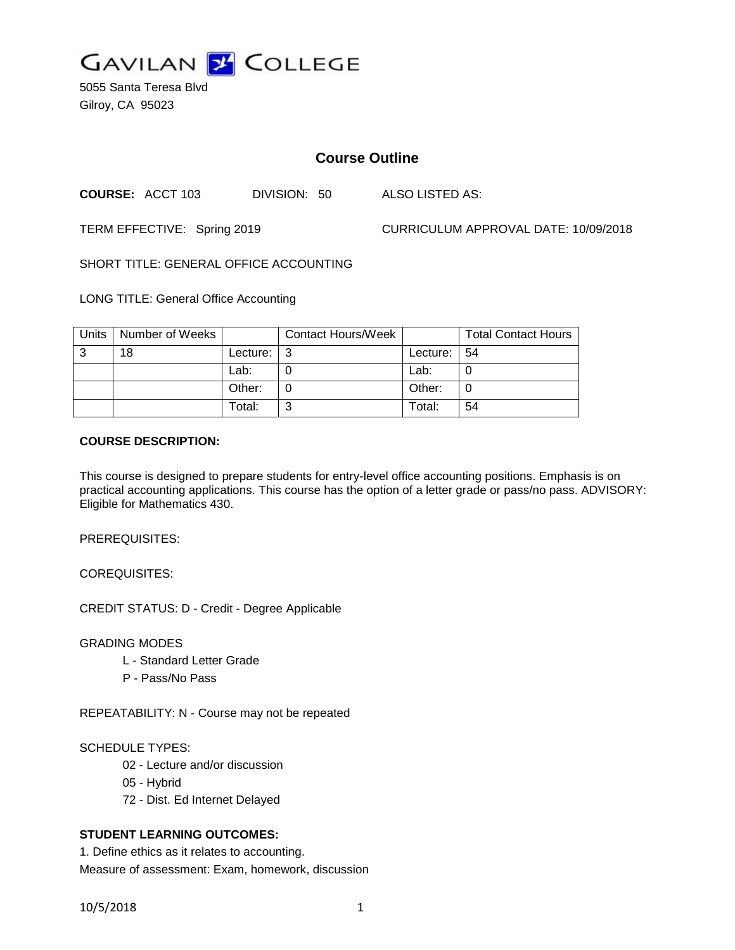

5055 Santa Teresa Blvd Gilroy, CA 95023

# **Course Outline**

**COURSE:** ACCT 103 DIVISION: 50 ALSO LISTED AS:

TERM EFFECTIVE: Spring 2019 CURRICULUM APPROVAL DATE: 10/09/2018

SHORT TITLE: GENERAL OFFICE ACCOUNTING

LONG TITLE: General Office Accounting

| Units | Number of Weeks |               | <b>Contact Hours/Week</b> |          | <b>Total Contact Hours</b> |
|-------|-----------------|---------------|---------------------------|----------|----------------------------|
| 3     | 18              | Lecture: $ 3$ |                           | Lecture: | -54                        |
|       |                 | Lab:          |                           | Lab:     |                            |
|       |                 | Other:        |                           | Other:   |                            |
|       |                 | Total:        | ⌒                         | Total:   | 54                         |

### **COURSE DESCRIPTION:**

This course is designed to prepare students for entry-level office accounting positions. Emphasis is on practical accounting applications. This course has the option of a letter grade or pass/no pass. ADVISORY: Eligible for Mathematics 430.

PREREQUISITES:

COREQUISITES:

CREDIT STATUS: D - Credit - Degree Applicable

GRADING MODES

- L Standard Letter Grade
- P Pass/No Pass

REPEATABILITY: N - Course may not be repeated

## SCHEDULE TYPES:

- 02 Lecture and/or discussion
- 05 Hybrid
- 72 Dist. Ed Internet Delayed

## **STUDENT LEARNING OUTCOMES:**

1. Define ethics as it relates to accounting. Measure of assessment: Exam, homework, discussion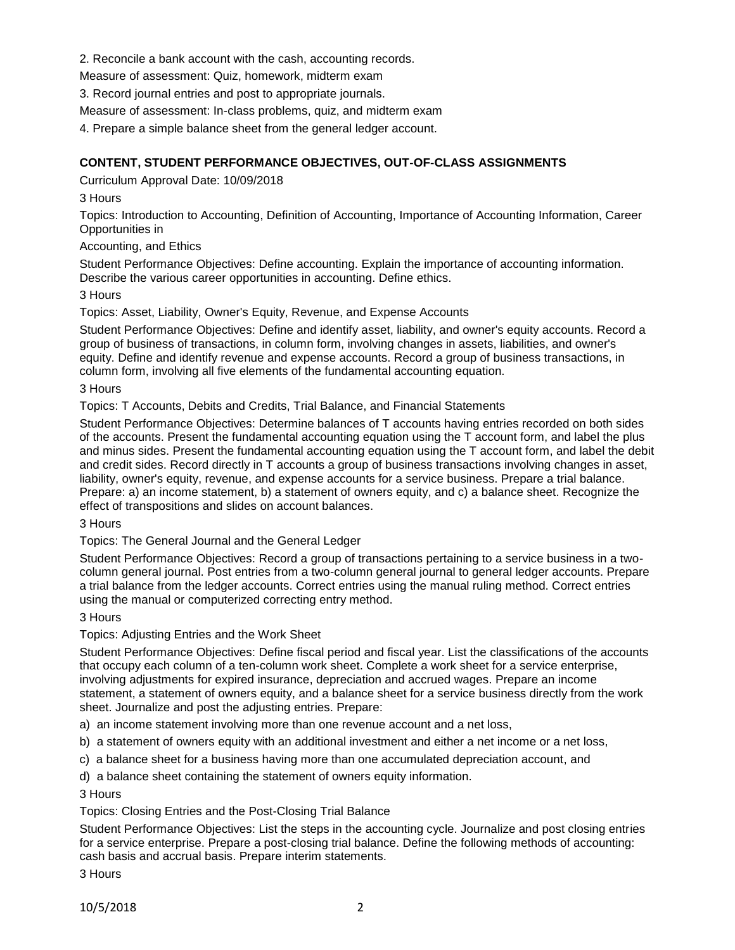2. Reconcile a bank account with the cash, accounting records.

Measure of assessment: Quiz, homework, midterm exam

3. Record journal entries and post to appropriate journals.

Measure of assessment: In-class problems, quiz, and midterm exam

4. Prepare a simple balance sheet from the general ledger account.

# **CONTENT, STUDENT PERFORMANCE OBJECTIVES, OUT-OF-CLASS ASSIGNMENTS**

Curriculum Approval Date: 10/09/2018

3 Hours

Topics: Introduction to Accounting, Definition of Accounting, Importance of Accounting Information, Career Opportunities in

Accounting, and Ethics

Student Performance Objectives: Define accounting. Explain the importance of accounting information. Describe the various career opportunities in accounting. Define ethics.

### 3 Hours

Topics: Asset, Liability, Owner's Equity, Revenue, and Expense Accounts

Student Performance Objectives: Define and identify asset, liability, and owner's equity accounts. Record a group of business of transactions, in column form, involving changes in assets, liabilities, and owner's equity. Define and identify revenue and expense accounts. Record a group of business transactions, in column form, involving all five elements of the fundamental accounting equation.

### 3 Hours

Topics: T Accounts, Debits and Credits, Trial Balance, and Financial Statements

Student Performance Objectives: Determine balances of T accounts having entries recorded on both sides of the accounts. Present the fundamental accounting equation using the T account form, and label the plus and minus sides. Present the fundamental accounting equation using the T account form, and label the debit and credit sides. Record directly in T accounts a group of business transactions involving changes in asset, liability, owner's equity, revenue, and expense accounts for a service business. Prepare a trial balance. Prepare: a) an income statement, b) a statement of owners equity, and c) a balance sheet. Recognize the effect of transpositions and slides on account balances.

3 Hours

Topics: The General Journal and the General Ledger

Student Performance Objectives: Record a group of transactions pertaining to a service business in a twocolumn general journal. Post entries from a two-column general journal to general ledger accounts. Prepare a trial balance from the ledger accounts. Correct entries using the manual ruling method. Correct entries using the manual or computerized correcting entry method.

#### 3 Hours

## Topics: Adjusting Entries and the Work Sheet

Student Performance Objectives: Define fiscal period and fiscal year. List the classifications of the accounts that occupy each column of a ten-column work sheet. Complete a work sheet for a service enterprise, involving adjustments for expired insurance, depreciation and accrued wages. Prepare an income statement, a statement of owners equity, and a balance sheet for a service business directly from the work sheet. Journalize and post the adjusting entries. Prepare:

a) an income statement involving more than one revenue account and a net loss,

b) a statement of owners equity with an additional investment and either a net income or a net loss,

c) a balance sheet for a business having more than one accumulated depreciation account, and

d) a balance sheet containing the statement of owners equity information.

3 Hours

Topics: Closing Entries and the Post-Closing Trial Balance

Student Performance Objectives: List the steps in the accounting cycle. Journalize and post closing entries for a service enterprise. Prepare a post-closing trial balance. Define the following methods of accounting: cash basis and accrual basis. Prepare interim statements.

3 Hours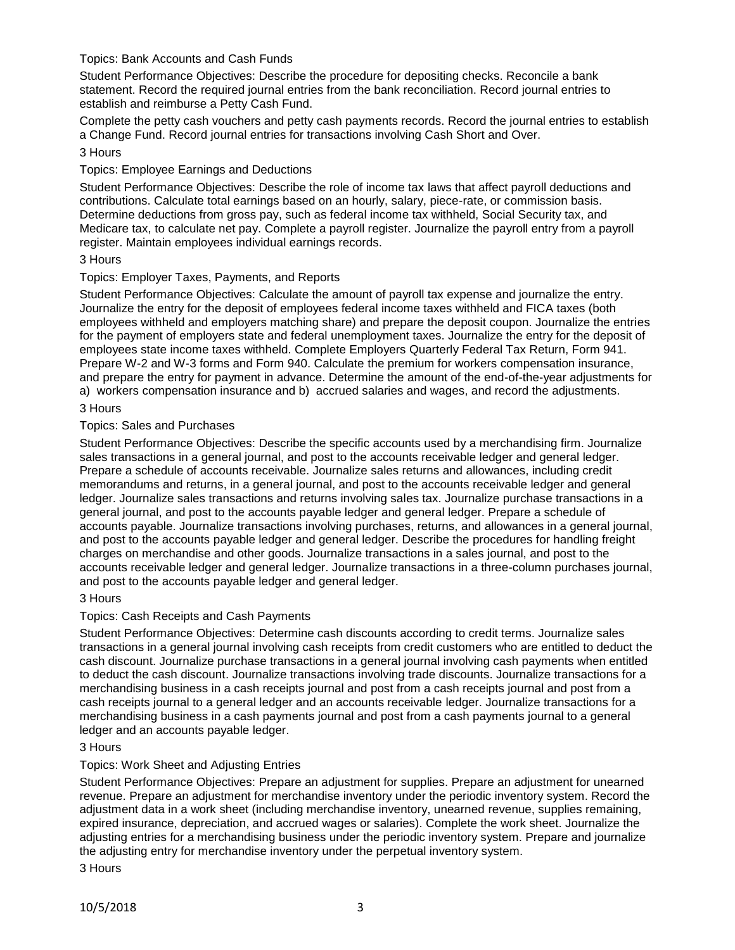## Topics: Bank Accounts and Cash Funds

Student Performance Objectives: Describe the procedure for depositing checks. Reconcile a bank statement. Record the required journal entries from the bank reconciliation. Record journal entries to establish and reimburse a Petty Cash Fund.

Complete the petty cash vouchers and petty cash payments records. Record the journal entries to establish a Change Fund. Record journal entries for transactions involving Cash Short and Over.

### 3 Hours

### Topics: Employee Earnings and Deductions

Student Performance Objectives: Describe the role of income tax laws that affect payroll deductions and contributions. Calculate total earnings based on an hourly, salary, piece-rate, or commission basis. Determine deductions from gross pay, such as federal income tax withheld, Social Security tax, and Medicare tax, to calculate net pay. Complete a payroll register. Journalize the payroll entry from a payroll register. Maintain employees individual earnings records.

### 3 Hours

### Topics: Employer Taxes, Payments, and Reports

Student Performance Objectives: Calculate the amount of payroll tax expense and journalize the entry. Journalize the entry for the deposit of employees federal income taxes withheld and FICA taxes (both employees withheld and employers matching share) and prepare the deposit coupon. Journalize the entries for the payment of employers state and federal unemployment taxes. Journalize the entry for the deposit of employees state income taxes withheld. Complete Employers Quarterly Federal Tax Return, Form 941. Prepare W-2 and W-3 forms and Form 940. Calculate the premium for workers compensation insurance, and prepare the entry for payment in advance. Determine the amount of the end-of-the-year adjustments for a) workers compensation insurance and b) accrued salaries and wages, and record the adjustments.

### 3 Hours

### Topics: Sales and Purchases

Student Performance Objectives: Describe the specific accounts used by a merchandising firm. Journalize sales transactions in a general journal, and post to the accounts receivable ledger and general ledger. Prepare a schedule of accounts receivable. Journalize sales returns and allowances, including credit memorandums and returns, in a general journal, and post to the accounts receivable ledger and general ledger. Journalize sales transactions and returns involving sales tax. Journalize purchase transactions in a general journal, and post to the accounts payable ledger and general ledger. Prepare a schedule of accounts payable. Journalize transactions involving purchases, returns, and allowances in a general journal, and post to the accounts payable ledger and general ledger. Describe the procedures for handling freight charges on merchandise and other goods. Journalize transactions in a sales journal, and post to the accounts receivable ledger and general ledger. Journalize transactions in a three-column purchases journal, and post to the accounts payable ledger and general ledger.

#### 3 Hours

## Topics: Cash Receipts and Cash Payments

Student Performance Objectives: Determine cash discounts according to credit terms. Journalize sales transactions in a general journal involving cash receipts from credit customers who are entitled to deduct the cash discount. Journalize purchase transactions in a general journal involving cash payments when entitled to deduct the cash discount. Journalize transactions involving trade discounts. Journalize transactions for a merchandising business in a cash receipts journal and post from a cash receipts journal and post from a cash receipts journal to a general ledger and an accounts receivable ledger. Journalize transactions for a merchandising business in a cash payments journal and post from a cash payments journal to a general ledger and an accounts payable ledger.

## 3 Hours

## Topics: Work Sheet and Adjusting Entries

Student Performance Objectives: Prepare an adjustment for supplies. Prepare an adjustment for unearned revenue. Prepare an adjustment for merchandise inventory under the periodic inventory system. Record the adjustment data in a work sheet (including merchandise inventory, unearned revenue, supplies remaining, expired insurance, depreciation, and accrued wages or salaries). Complete the work sheet. Journalize the adjusting entries for a merchandising business under the periodic inventory system. Prepare and journalize the adjusting entry for merchandise inventory under the perpetual inventory system.

3 Hours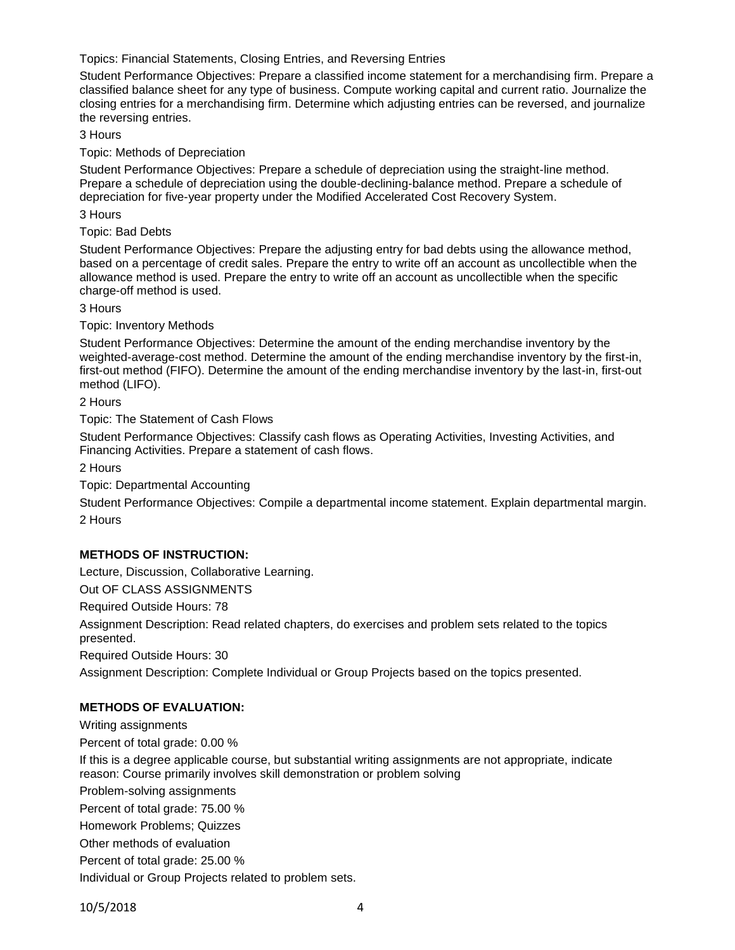Topics: Financial Statements, Closing Entries, and Reversing Entries

Student Performance Objectives: Prepare a classified income statement for a merchandising firm. Prepare a classified balance sheet for any type of business. Compute working capital and current ratio. Journalize the closing entries for a merchandising firm. Determine which adjusting entries can be reversed, and journalize the reversing entries.

3 Hours

Topic: Methods of Depreciation

Student Performance Objectives: Prepare a schedule of depreciation using the straight-line method. Prepare a schedule of depreciation using the double-declining-balance method. Prepare a schedule of depreciation for five-year property under the Modified Accelerated Cost Recovery System.

3 Hours

Topic: Bad Debts

Student Performance Objectives: Prepare the adjusting entry for bad debts using the allowance method, based on a percentage of credit sales. Prepare the entry to write off an account as uncollectible when the allowance method is used. Prepare the entry to write off an account as uncollectible when the specific charge-off method is used.

3 Hours

Topic: Inventory Methods

Student Performance Objectives: Determine the amount of the ending merchandise inventory by the weighted-average-cost method. Determine the amount of the ending merchandise inventory by the first-in, first-out method (FIFO). Determine the amount of the ending merchandise inventory by the last-in, first-out method (LIFO).

2 Hours

Topic: The Statement of Cash Flows

Student Performance Objectives: Classify cash flows as Operating Activities, Investing Activities, and Financing Activities. Prepare a statement of cash flows.

2 Hours

Topic: Departmental Accounting

Student Performance Objectives: Compile a departmental income statement. Explain departmental margin. 2 Hours

## **METHODS OF INSTRUCTION:**

Lecture, Discussion, Collaborative Learning.

Out OF CLASS ASSIGNMENTS

Required Outside Hours: 78

Assignment Description: Read related chapters, do exercises and problem sets related to the topics presented.

Required Outside Hours: 30

Assignment Description: Complete Individual or Group Projects based on the topics presented.

## **METHODS OF EVALUATION:**

Writing assignments Percent of total grade: 0.00 % If this is a degree applicable course, but substantial writing assignments are not appropriate, indicate reason: Course primarily involves skill demonstration or problem solving Problem-solving assignments Percent of total grade: 75.00 % Homework Problems; Quizzes Other methods of evaluation Percent of total grade: 25.00 % Individual or Group Projects related to problem sets.